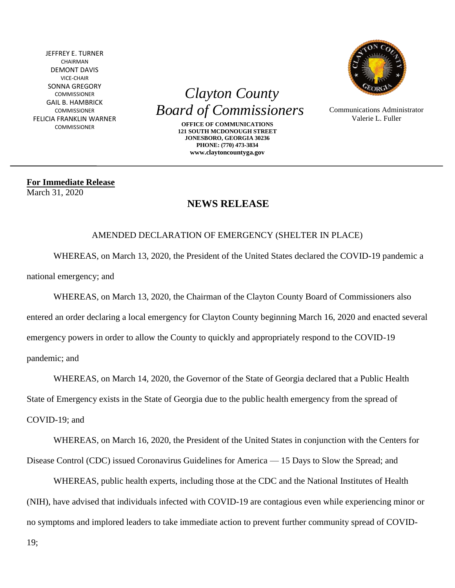JEFFREY E. TURNER CHAIRMAN DEMONT DAVIS VICE-CHAIR SONNA GREGORY COMMISSIONER GAIL B. HAMBRICK **COMMISSIONER** FELICIA FRANKLIN WARNER COMMISSIONER

 *Clayton County Board of Commissioners* 

> **OFFICE OF COMMUNICATIONS 121 SOUTH MCDONOUGH STREET JONESBORO, GEORGIA 30236 PHONE: (770) 473-3834 www.claytoncountyga.gov**



Communications Administrator Valerie L. Fuller

**For Immediate Release**  March 31, 2020

## **NEWS RELEASE**

## AMENDED DECLARATION OF EMERGENCY (SHELTER IN PLACE)

WHEREAS, on March 13, 2020, the President of the United States declared the COVID-19 pandemic a national emergency; and

WHEREAS, on March 13, 2020, the Chairman of the Clayton County Board of Commissioners also

entered an order declaring a local emergency for Clayton County beginning March 16, 2020 and enacted several emergency powers in order to allow the County to quickly and appropriately respond to the COVID-19 pandemic; and

WHEREAS, on March 14, 2020, the Governor of the State of Georgia declared that a Public Health State of Emergency exists in the State of Georgia due to the public health emergency from the spread of COVID-19; and

WHEREAS, on March 16, 2020, the President of the United States in conjunction with the Centers for Disease Control (CDC) issued Coronavirus Guidelines for America — 15 Days to Slow the Spread; and

WHEREAS, public health experts, including those at the CDC and the National Institutes of Health (NIH), have advised that individuals infected with COVID-19 are contagious even while experiencing minor or no symptoms and implored leaders to take immediate action to prevent further community spread of COVID-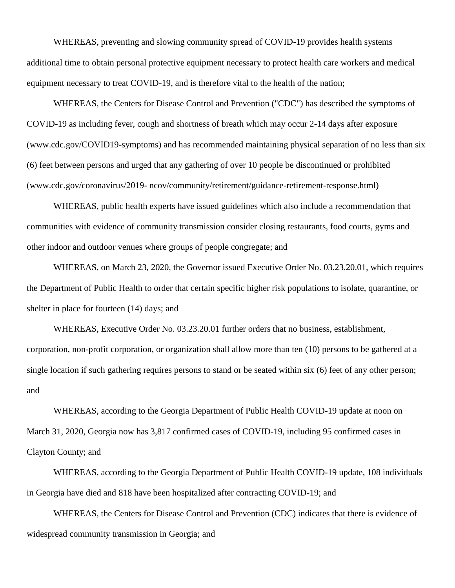WHEREAS, preventing and slowing community spread of COVID-19 provides health systems additional time to obtain personal protective equipment necessary to protect health care workers and medical equipment necessary to treat COVID-19, and is therefore vital to the health of the nation;

WHEREAS, the Centers for Disease Control and Prevention ("CDC") has described the symptoms of COVID-19 as including fever, cough and shortness of breath which may occur 2-14 days after exposure (www.cdc.gov/COVID19-symptoms) and has recommended maintaining physical separation of no less than six (6) feet between persons and urged that any gathering of over 10 people be discontinued or prohibited (www.cdc.gov/coronavirus/2019- ncov/community/retirement/guidance-retirement-response.html)

WHEREAS, public health experts have issued guidelines which also include a recommendation that communities with evidence of community transmission consider closing restaurants, food courts, gyms and other indoor and outdoor venues where groups of people congregate; and

WHEREAS, on March 23, 2020, the Governor issued Executive Order No. 03.23.20.01, which requires the Department of Public Health to order that certain specific higher risk populations to isolate, quarantine, or shelter in place for fourteen (14) days; and

WHEREAS, Executive Order No. 03.23.20.01 further orders that no business, establishment, corporation, non-profit corporation, or organization shall allow more than ten (10) persons to be gathered at a single location if such gathering requires persons to stand or be seated within six (6) feet of any other person; and

WHEREAS, according to the Georgia Department of Public Health COVID-19 update at noon on March 31, 2020, Georgia now has 3,817 confirmed cases of COVID-19, including 95 confirmed cases in Clayton County; and

WHEREAS, according to the Georgia Department of Public Health COVID-19 update, 108 individuals in Georgia have died and 818 have been hospitalized after contracting COVID-19; and

WHEREAS, the Centers for Disease Control and Prevention (CDC) indicates that there is evidence of widespread community transmission in Georgia; and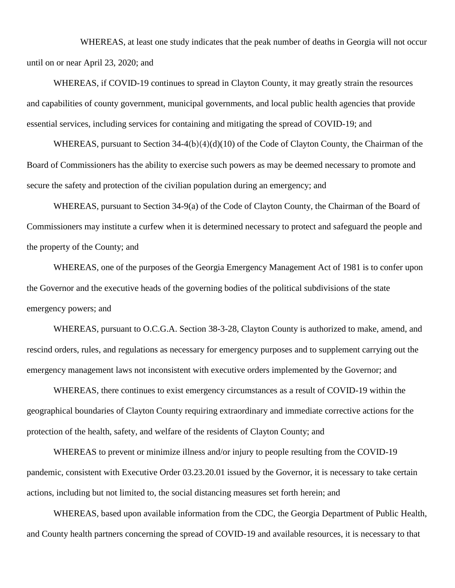WHEREAS, at least one study indicates that the peak number of deaths in Georgia will not occur until on or near April 23, 2020; and

WHEREAS, if COVID-19 continues to spread in Clayton County, it may greatly strain the resources and capabilities of county government, municipal governments, and local public health agencies that provide essential services, including services for containing and mitigating the spread of COVID-19; and

WHEREAS, pursuant to Section 34-4(b)(4)(d)(10) of the Code of Clayton County, the Chairman of the Board of Commissioners has the ability to exercise such powers as may be deemed necessary to promote and secure the safety and protection of the civilian population during an emergency; and

WHEREAS, pursuant to Section 34-9(a) of the Code of Clayton County, the Chairman of the Board of Commissioners may institute a curfew when it is determined necessary to protect and safeguard the people and the property of the County; and

WHEREAS, one of the purposes of the Georgia Emergency Management Act of 1981 is to confer upon the Governor and the executive heads of the governing bodies of the political subdivisions of the state emergency powers; and

WHEREAS, pursuant to O.C.G.A. Section 38-3-28, Clayton County is authorized to make, amend, and rescind orders, rules, and regulations as necessary for emergency purposes and to supplement carrying out the emergency management laws not inconsistent with executive orders implemented by the Governor; and

WHEREAS, there continues to exist emergency circumstances as a result of COVID-19 within the geographical boundaries of Clayton County requiring extraordinary and immediate corrective actions for the protection of the health, safety, and welfare of the residents of Clayton County; and

WHEREAS to prevent or minimize illness and/or injury to people resulting from the COVID-19 pandemic, consistent with Executive Order 03.23.20.01 issued by the Governor, it is necessary to take certain actions, including but not limited to, the social distancing measures set forth herein; and

WHEREAS, based upon available information from the CDC, the Georgia Department of Public Health, and County health partners concerning the spread of COVID-19 and available resources, it is necessary to that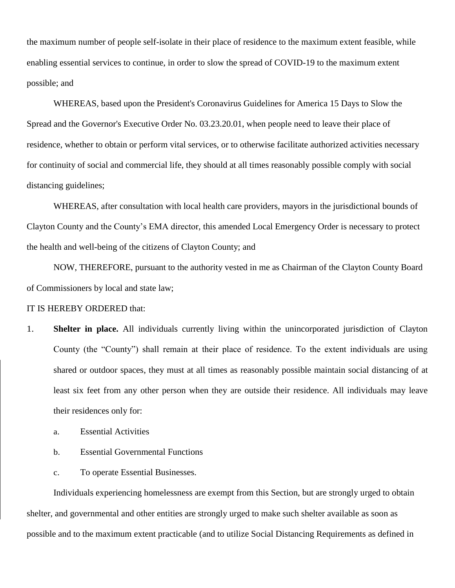the maximum number of people self-isolate in their place of residence to the maximum extent feasible, while enabling essential services to continue, in order to slow the spread of COVID-19 to the maximum extent possible; and

WHEREAS, based upon the President's Coronavirus Guidelines for America 15 Days to Slow the Spread and the Governor's Executive Order No. 03.23.20.01, when people need to leave their place of residence, whether to obtain or perform vital services, or to otherwise facilitate authorized activities necessary for continuity of social and commercial life, they should at all times reasonably possible comply with social distancing guidelines;

WHEREAS, after consultation with local health care providers, mayors in the jurisdictional bounds of Clayton County and the County's EMA director, this amended Local Emergency Order is necessary to protect the health and well-being of the citizens of Clayton County; and

NOW, THEREFORE, pursuant to the authority vested in me as Chairman of the Clayton County Board of Commissioners by local and state law;

## IT IS HEREBY ORDERED that:

- 1. **Shelter in place.** All individuals currently living within the unincorporated jurisdiction of Clayton County (the "County") shall remain at their place of residence. To the extent individuals are using shared or outdoor spaces, they must at all times as reasonably possible maintain social distancing of at least six feet from any other person when they are outside their residence. All individuals may leave their residences only for:
	- a. Essential Activities
	- b. Essential Governmental Functions
	- c. To operate Essential Businesses.

Individuals experiencing homelessness are exempt from this Section, but are strongly urged to obtain shelter, and governmental and other entities are strongly urged to make such shelter available as soon as possible and to the maximum extent practicable (and to utilize Social Distancing Requirements as defined in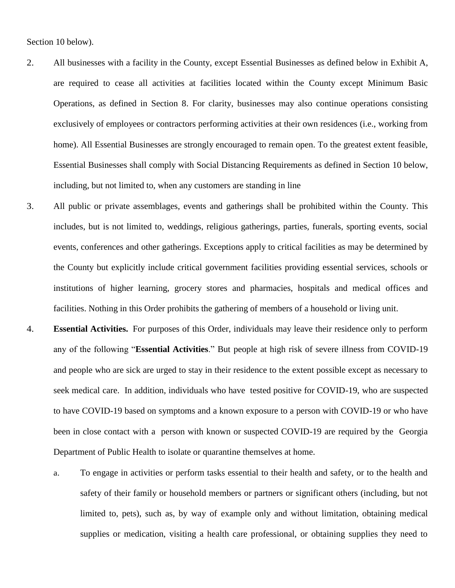Section 10 below).

- 2. All businesses with a facility in the County, except Essential Businesses as defined below in Exhibit A, are required to cease all activities at facilities located within the County except Minimum Basic Operations, as defined in Section 8. For clarity, businesses may also continue operations consisting exclusively of employees or contractors performing activities at their own residences (i.e., working from home). All Essential Businesses are strongly encouraged to remain open. To the greatest extent feasible, Essential Businesses shall comply with Social Distancing Requirements as defined in Section 10 below, including, but not limited to, when any customers are standing in line
- 3. All public or private assemblages, events and gatherings shall be prohibited within the County. This includes, but is not limited to, weddings, religious gatherings, parties, funerals, sporting events, social events, conferences and other gatherings. Exceptions apply to critical facilities as may be determined by the County but explicitly include critical government facilities providing essential services, schools or institutions of higher learning, grocery stores and pharmacies, hospitals and medical offices and facilities. Nothing in this Order prohibits the gathering of members of a household or living unit.
- 4. **Essential Activities.** For purposes of this Order, individuals may leave their residence only to perform any of the following "**Essential Activities**." But people at high risk of severe illness from COVID-19 and people who are sick are urged to stay in their residence to the extent possible except as necessary to seek medical care. In addition, individuals who have tested positive for COVID-19, who are suspected to have COVID-19 based on symptoms and a known exposure to a person with COVID-19 or who have been in close contact with a person with known or suspected COVID-19 are required by the Georgia Department of Public Health to isolate or quarantine themselves at home.
	- a. To engage in activities or perform tasks essential to their health and safety, or to the health and safety of their family or household members or partners or significant others (including, but not limited to, pets), such as, by way of example only and without limitation, obtaining medical supplies or medication, visiting a health care professional, or obtaining supplies they need to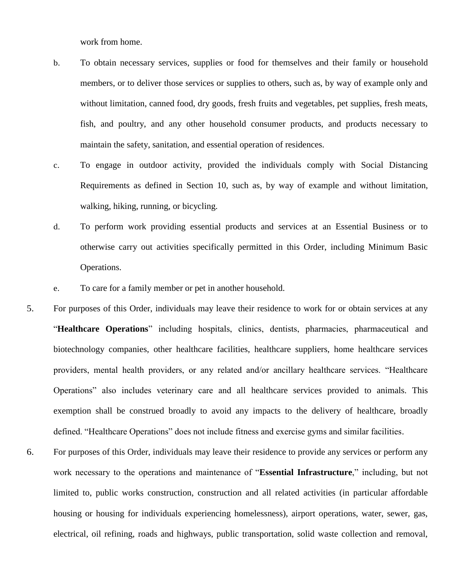work from home.

- b. To obtain necessary services, supplies or food for themselves and their family or household members, or to deliver those services or supplies to others, such as, by way of example only and without limitation, canned food, dry goods, fresh fruits and vegetables, pet supplies, fresh meats, fish, and poultry, and any other household consumer products, and products necessary to maintain the safety, sanitation, and essential operation of residences.
- c. To engage in outdoor activity, provided the individuals comply with Social Distancing Requirements as defined in Section 10, such as, by way of example and without limitation, walking, hiking, running, or bicycling.
- d. To perform work providing essential products and services at an Essential Business or to otherwise carry out activities specifically permitted in this Order, including Minimum Basic Operations.
- e. To care for a family member or pet in another household.
- 5. For purposes of this Order, individuals may leave their residence to work for or obtain services at any "**Healthcare Operations**" including hospitals, clinics, dentists, pharmacies, pharmaceutical and biotechnology companies, other healthcare facilities, healthcare suppliers, home healthcare services providers, mental health providers, or any related and/or ancillary healthcare services. "Healthcare Operations" also includes veterinary care and all healthcare services provided to animals. This exemption shall be construed broadly to avoid any impacts to the delivery of healthcare, broadly defined. "Healthcare Operations" does not include fitness and exercise gyms and similar facilities.
- 6. For purposes of this Order, individuals may leave their residence to provide any services or perform any work necessary to the operations and maintenance of "**Essential Infrastructure**," including, but not limited to, public works construction, construction and all related activities (in particular affordable housing or housing for individuals experiencing homelessness), airport operations, water, sewer, gas, electrical, oil refining, roads and highways, public transportation, solid waste collection and removal,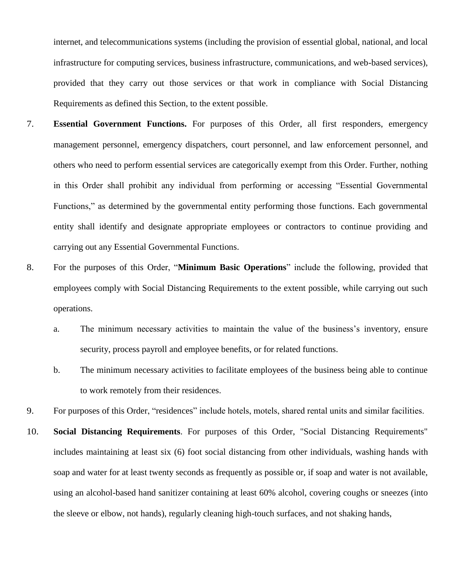internet, and telecommunications systems (including the provision of essential global, national, and local infrastructure for computing services, business infrastructure, communications, and web-based services), provided that they carry out those services or that work in compliance with Social Distancing Requirements as defined this Section, to the extent possible.

- 7. **Essential Government Functions.** For purposes of this Order, all first responders, emergency management personnel, emergency dispatchers, court personnel, and law enforcement personnel, and others who need to perform essential services are categorically exempt from this Order. Further, nothing in this Order shall prohibit any individual from performing or accessing "Essential Governmental Functions," as determined by the governmental entity performing those functions. Each governmental entity shall identify and designate appropriate employees or contractors to continue providing and carrying out any Essential Governmental Functions.
- 8. For the purposes of this Order, "**Minimum Basic Operations**" include the following, provided that employees comply with Social Distancing Requirements to the extent possible, while carrying out such operations.
	- a. The minimum necessary activities to maintain the value of the business's inventory, ensure security, process payroll and employee benefits, or for related functions.
	- b. The minimum necessary activities to facilitate employees of the business being able to continue to work remotely from their residences.

9. For purposes of this Order, "residences" include hotels, motels, shared rental units and similar facilities.

10. **Social Distancing Requirements**. For purposes of this Order, "Social Distancing Requirements" includes maintaining at least six (6) foot social distancing from other individuals, washing hands with soap and water for at least twenty seconds as frequently as possible or, if soap and water is not available, using an alcohol-based hand sanitizer containing at least 60% alcohol, covering coughs or sneezes (into the sleeve or elbow, not hands), regularly cleaning high-touch surfaces, and not shaking hands,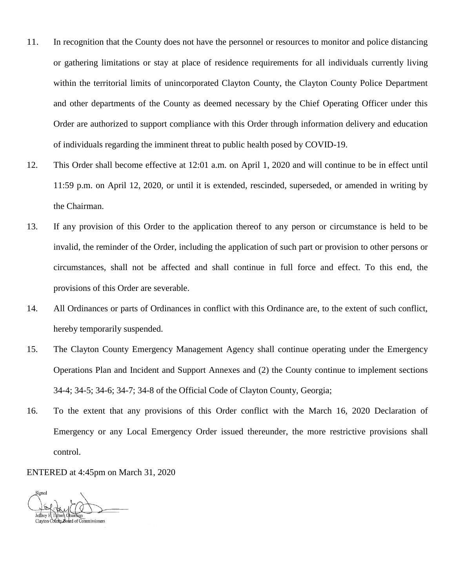- 11. In recognition that the County does not have the personnel or resources to monitor and police distancing or gathering limitations or stay at place of residence requirements for all individuals currently living within the territorial limits of unincorporated Clayton County, the Clayton County Police Department and other departments of the County as deemed necessary by the Chief Operating Officer under this Order are authorized to support compliance with this Order through information delivery and education of individuals regarding the imminent threat to public health posed by COVID-19.
- 12. This Order shall become effective at 12:01 a.m. on April 1, 2020 and will continue to be in effect until 11:59 p.m. on April 12, 2020, or until it is extended, rescinded, superseded, or amended in writing by the Chairman.
- 13. If any provision of this Order to the application thereof to any person or circumstance is held to be invalid, the reminder of the Order, including the application of such part or provision to other persons or circumstances, shall not be affected and shall continue in full force and effect. To this end, the provisions of this Order are severable.
- 14. All Ordinances or parts of Ordinances in conflict with this Ordinance are, to the extent of such conflict, hereby temporarily suspended.
- 15. The Clayton County Emergency Management Agency shall continue operating under the Emergency Operations Plan and Incident and Support Annexes and (2) the County continue to implement sections 34-4; 34-5; 34-6; 34-7; 34-8 of the Official Code of Clayton County, Georgia;
- 16. To the extent that any provisions of this Order conflict with the March 16, 2020 Declaration of Emergency or any Local Emergency Order issued thereunder, the more restrictive provisions shall control.

ENTERED at 4:45pm on March 31, 2020

Signeo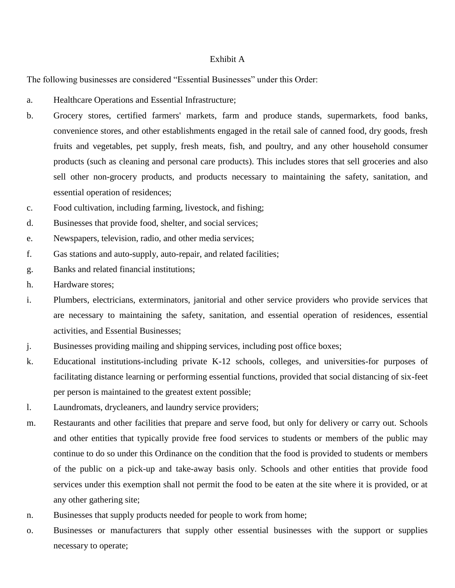## Exhibit A

The following businesses are considered "Essential Businesses" under this Order:

- a. Healthcare Operations and Essential Infrastructure;
- b. Grocery stores, certified farmers' markets, farm and produce stands, supermarkets, food banks, convenience stores, and other establishments engaged in the retail sale of canned food, dry goods, fresh fruits and vegetables, pet supply, fresh meats, fish, and poultry, and any other household consumer products (such as cleaning and personal care products). This includes stores that sell groceries and also sell other non-grocery products, and products necessary to maintaining the safety, sanitation, and essential operation of residences;
- c. Food cultivation, including farming, livestock, and fishing;
- d. Businesses that provide food, shelter, and social services;
- e. Newspapers, television, radio, and other media services;
- f. Gas stations and auto-supply, auto-repair, and related facilities;
- g. Banks and related financial institutions;
- h. Hardware stores;
- i. Plumbers, electricians, exterminators, janitorial and other service providers who provide services that are necessary to maintaining the safety, sanitation, and essential operation of residences, essential activities, and Essential Businesses;
- j. Businesses providing mailing and shipping services, including post office boxes;
- k. Educational institutions-including private K-12 schools, colleges, and universities-for purposes of facilitating distance learning or performing essential functions, provided that social distancing of six-feet per person is maintained to the greatest extent possible;
- l. Laundromats, drycleaners, and laundry service providers;
- m. Restaurants and other facilities that prepare and serve food, but only for delivery or carry out. Schools and other entities that typically provide free food services to students or members of the public may continue to do so under this Ordinance on the condition that the food is provided to students or members of the public on a pick-up and take-away basis only. Schools and other entities that provide food services under this exemption shall not permit the food to be eaten at the site where it is provided, or at any other gathering site;
- n. Businesses that supply products needed for people to work from home;
- o. Businesses or manufacturers that supply other essential businesses with the support or supplies necessary to operate;